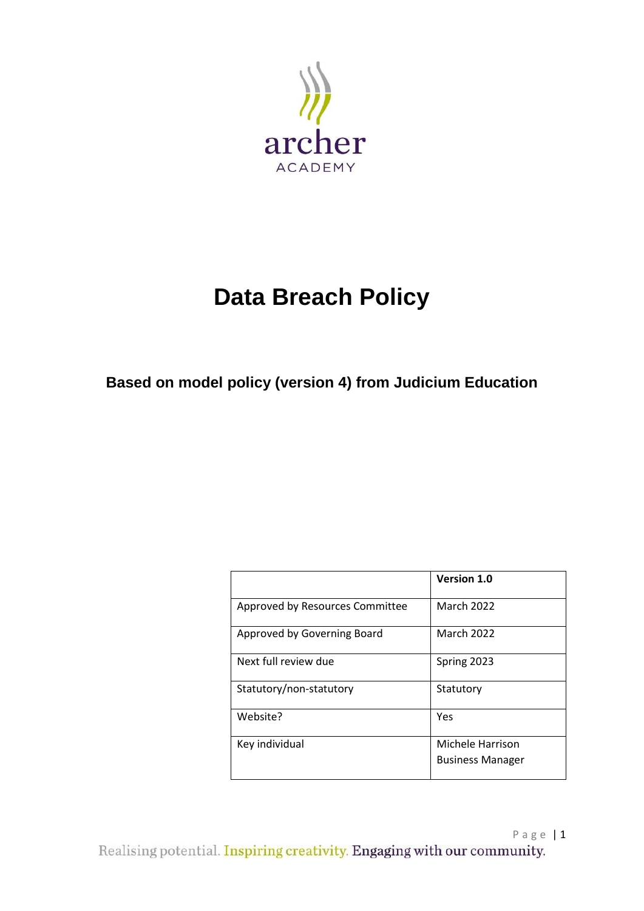

# **Data Breach Policy**

**Based on model policy (version 4) from Judicium Education** 

|                                 | <b>Version 1.0</b>      |
|---------------------------------|-------------------------|
| Approved by Resources Committee | <b>March 2022</b>       |
| Approved by Governing Board     | <b>March 2022</b>       |
| Next full review due            | Spring 2023             |
| Statutory/non-statutory         | Statutory               |
| Website?                        | Yes                     |
| Key individual                  | Michele Harrison        |
|                                 | <b>Business Manager</b> |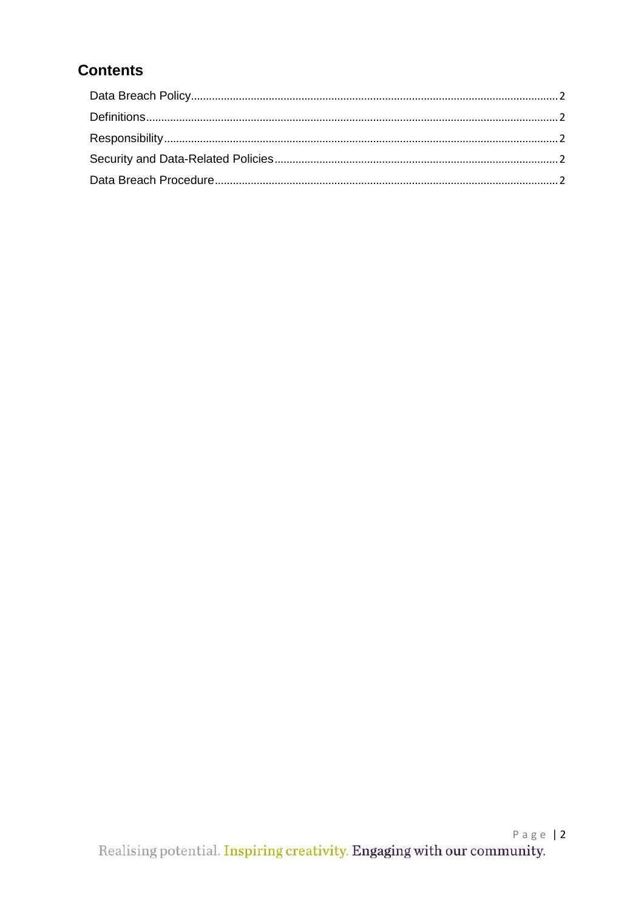# **Contents**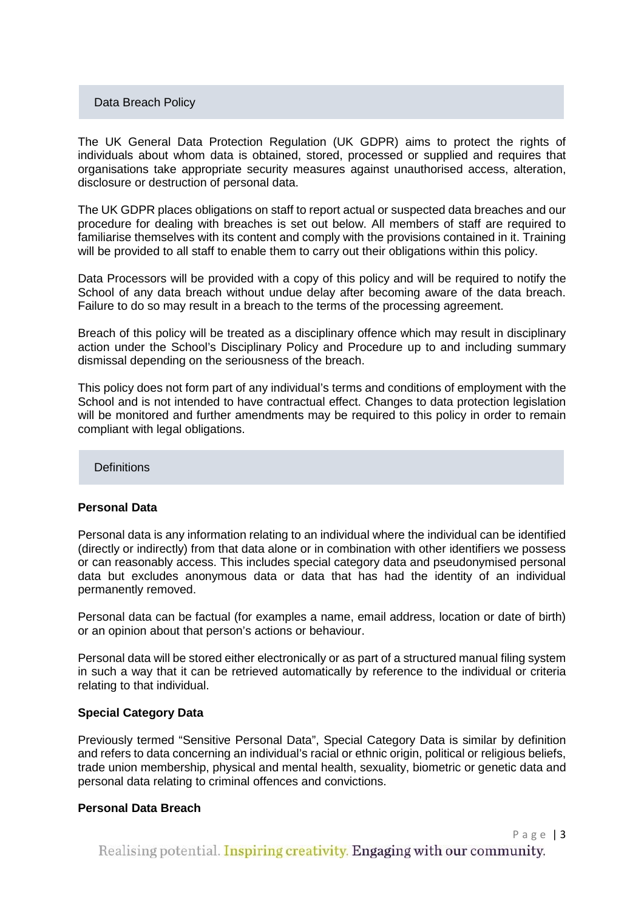#### Data Breach Policy

The UK General Data Protection Regulation (UK GDPR) aims to protect the rights of individuals about whom data is obtained, stored, processed or supplied and requires that organisations take appropriate security measures against unauthorised access, alteration, disclosure or destruction of personal data.

The UK GDPR places obligations on staff to report actual or suspected data breaches and our procedure for dealing with breaches is set out below. All members of staff are required to familiarise themselves with its content and comply with the provisions contained in it. Training will be provided to all staff to enable them to carry out their obligations within this policy.

Data Processors will be provided with a copy of this policy and will be required to notify the School of any data breach without undue delay after becoming aware of the data breach. Failure to do so may result in a breach to the terms of the processing agreement.

Breach of this policy will be treated as a disciplinary offence which may result in disciplinary action under the School's Disciplinary Policy and Procedure up to and including summary dismissal depending on the seriousness of the breach.

This policy does not form part of any individual's terms and conditions of employment with the School and is not intended to have contractual effect. Changes to data protection legislation will be monitored and further amendments may be required to this policy in order to remain compliant with legal obligations.

**Definitions** 

#### **Personal Data**

Personal data is any information relating to an individual where the individual can be identified (directly or indirectly) from that data alone or in combination with other identifiers we possess or can reasonably access. This includes special category data and pseudonymised personal data but excludes anonymous data or data that has had the identity of an individual permanently removed.

Personal data can be factual (for examples a name, email address, location or date of birth) or an opinion about that person's actions or behaviour.

Personal data will be stored either electronically or as part of a structured manual filing system in such a way that it can be retrieved automatically by reference to the individual or criteria relating to that individual.

#### **Special Category Data**

Previously termed "Sensitive Personal Data", Special Category Data is similar by definition and refers to data concerning an individual's racial or ethnic origin, political or religious beliefs, trade union membership, physical and mental health, sexuality, biometric or genetic data and personal data relating to criminal offences and convictions.

#### **Personal Data Breach**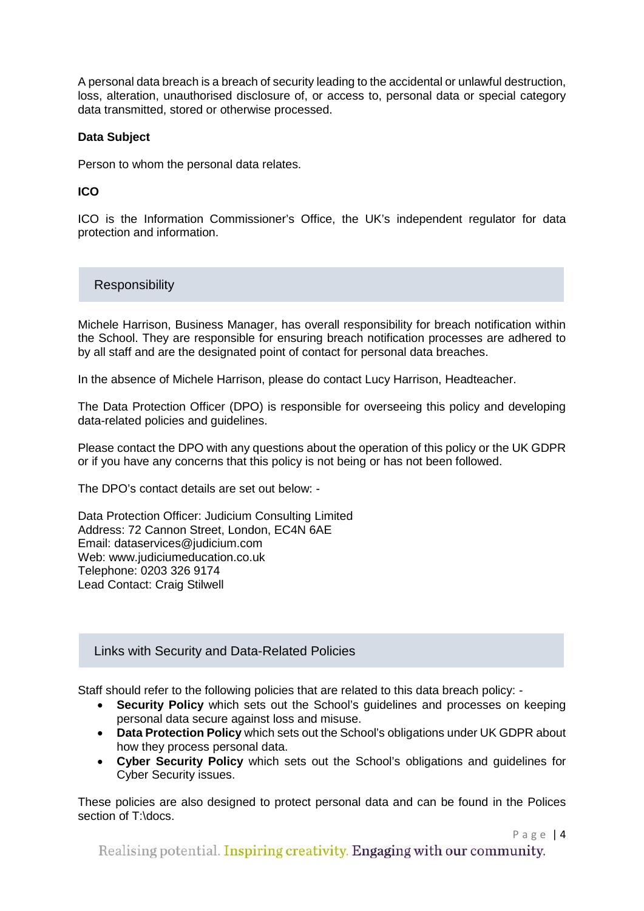A personal data breach is a breach of security leading to the accidental or unlawful destruction, loss, alteration, unauthorised disclosure of, or access to, personal data or special category data transmitted, stored or otherwise processed.

#### **Data Subject**

Person to whom the personal data relates.

# **ICO**

ICO is the Information Commissioner's Office, the UK's independent regulator for data protection and information.

**Responsibility** 

Michele Harrison, Business Manager, has overall responsibility for breach notification within the School. They are responsible for ensuring breach notification processes are adhered to by all staff and are the designated point of contact for personal data breaches.

In the absence of Michele Harrison, please do contact Lucy Harrison, Headteacher.

The Data Protection Officer (DPO) is responsible for overseeing this policy and developing data-related policies and guidelines.

Please contact the DPO with any questions about the operation of this policy or the UK GDPR or if you have any concerns that this policy is not being or has not been followed.

The DPO's contact details are set out below: -

Data Protection Officer: Judicium Consulting Limited Address: 72 Cannon Street, London, EC4N 6AE Email: [dataservices@judicium.com](mailto:dataservices@judicium.com) Web: www.judiciumeducation.co.uk Telephone: 0203 326 9174 Lead Contact: Craig Stilwell

# Links with Security and Data-Related Policies

Staff should refer to the following policies that are related to this data breach policy: -

- **Security Policy** which sets out the School's guidelines and processes on keeping personal data secure against loss and misuse.
- **Data Protection Policy** which sets out the School's obligations under UK GDPR about how they process personal data.
- **Cyber Security Policy** which sets out the School's obligations and guidelines for Cyber Security issues.

These policies are also designed to protect personal data and can be found in the Polices section of T:\docs.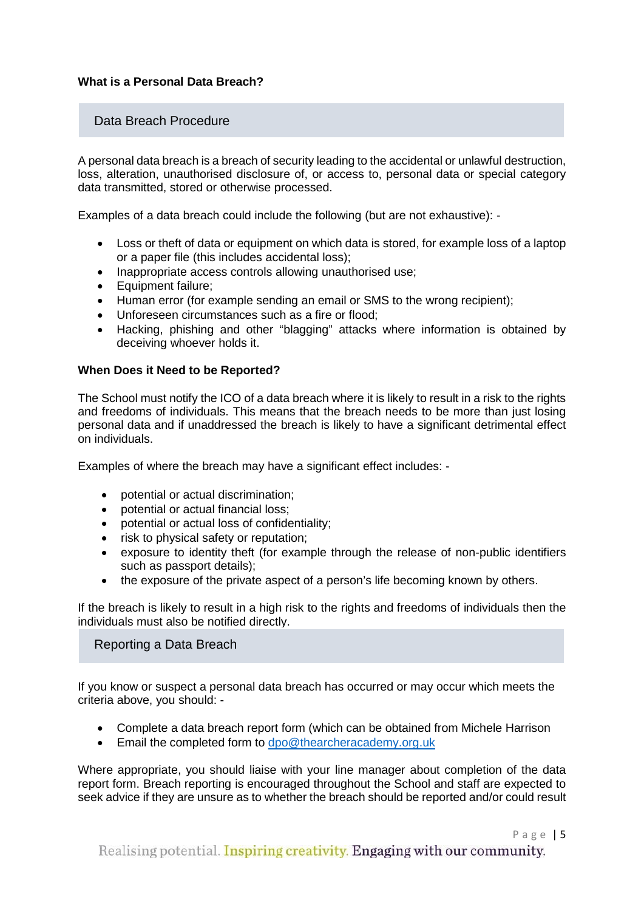#### **What is a Personal Data Breach?**

### Data Breach Procedure

A personal data breach is a breach of security leading to the accidental or unlawful destruction, loss, alteration, unauthorised disclosure of, or access to, personal data or special category data transmitted, stored or otherwise processed.

Examples of a data breach could include the following (but are not exhaustive): -

- Loss or theft of data or equipment on which data is stored, for example loss of a laptop or a paper file (this includes accidental loss);
- Inappropriate access controls allowing unauthorised use;
- Equipment failure;
- Human error (for example sending an email or SMS to the wrong recipient);
- Unforeseen circumstances such as a fire or flood;
- Hacking, phishing and other "blagging" attacks where information is obtained by deceiving whoever holds it.

#### **When Does it Need to be Reported?**

The School must notify the ICO of a data breach where it is likely to result in a risk to the rights and freedoms of individuals. This means that the breach needs to be more than just losing personal data and if unaddressed the breach is likely to have a significant detrimental effect on individuals.

Examples of where the breach may have a significant effect includes: -

- potential or actual discrimination:
- potential or actual financial loss;
- potential or actual loss of confidentiality;
- risk to physical safety or reputation:
- exposure to identity theft (for example through the release of non-public identifiers such as passport details);
- the exposure of the private aspect of a person's life becoming known by others.

If the breach is likely to result in a high risk to the rights and freedoms of individuals then the individuals must also be notified directly.

#### Reporting a Data Breach

If you know or suspect a personal data breach has occurred or may occur which meets the criteria above, you should: -

- Complete a data breach report form (which can be obtained from Michele Harrison
- Email the completed form to [dpo@thearcheracademy.org.uk](mailto:dpo@thearcheracademy.org.uk)

Where appropriate, you should liaise with your line manager about completion of the data report form. Breach reporting is encouraged throughout the School and staff are expected to seek advice if they are unsure as to whether the breach should be reported and/or could result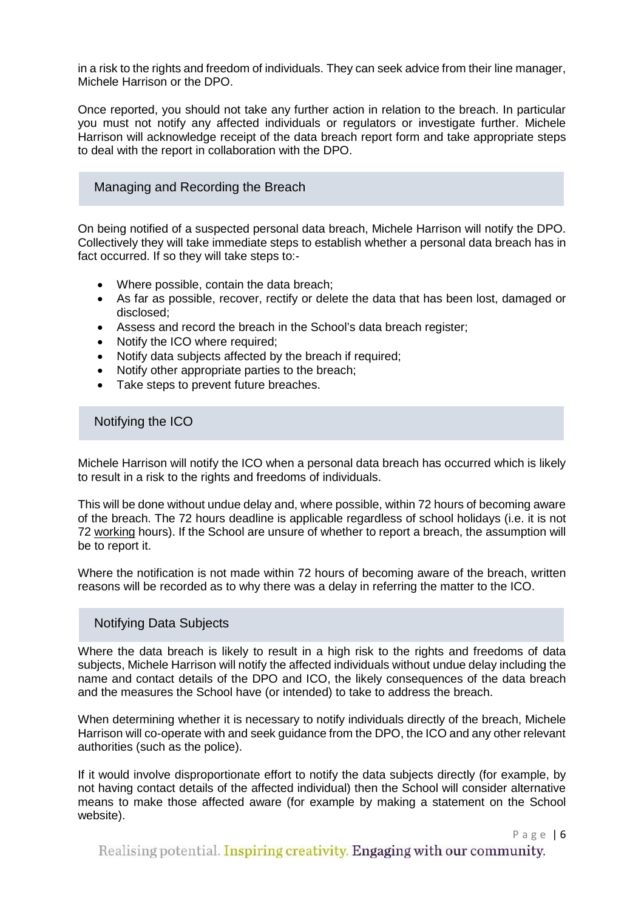in a risk to the rights and freedom of individuals. They can seek advice from their line manager, Michele Harrison or the DPO.

Once reported, you should not take any further action in relation to the breach. In particular you must not notify any affected individuals or regulators or investigate further. Michele Harrison will acknowledge receipt of the data breach report form and take appropriate steps to deal with the report in collaboration with the DPO.

#### Managing and Recording the Breach

On being notified of a suspected personal data breach, Michele Harrison will notify the DPO. Collectively they will take immediate steps to establish whether a personal data breach has in fact occurred. If so they will take steps to:-

- Where possible, contain the data breach;
- As far as possible, recover, rectify or delete the data that has been lost, damaged or disclosed;
- Assess and record the breach in the School's data breach register;
- Notify the ICO where required;
- Notify data subjects affected by the breach if required;
- Notify other appropriate parties to the breach;
- Take steps to prevent future breaches.

Notifying the ICO

Michele Harrison will notify the ICO when a personal data breach has occurred which is likely to result in a risk to the rights and freedoms of individuals.

This will be done without undue delay and, where possible, within 72 hours of becoming aware of the breach. The 72 hours deadline is applicable regardless of school holidays (i.e. it is not 72 working hours). If the School are unsure of whether to report a breach, the assumption will be to report it.

Where the notification is not made within 72 hours of becoming aware of the breach, written reasons will be recorded as to why there was a delay in referring the matter to the ICO.

# Notifying Data Subjects

Where the data breach is likely to result in a high risk to the rights and freedoms of data subjects, Michele Harrison will notify the affected individuals without undue delay including the name and contact details of the DPO and ICO, the likely consequences of the data breach and the measures the School have (or intended) to take to address the breach.

When determining whether it is necessary to notify individuals directly of the breach, Michele Harrison will co-operate with and seek guidance from the DPO, the ICO and any other relevant authorities (such as the police).

If it would involve disproportionate effort to notify the data subjects directly (for example, by not having contact details of the affected individual) then the School will consider alternative means to make those affected aware (for example by making a statement on the School website).

Realising potential. Inspiring creativity. Engaging with our community.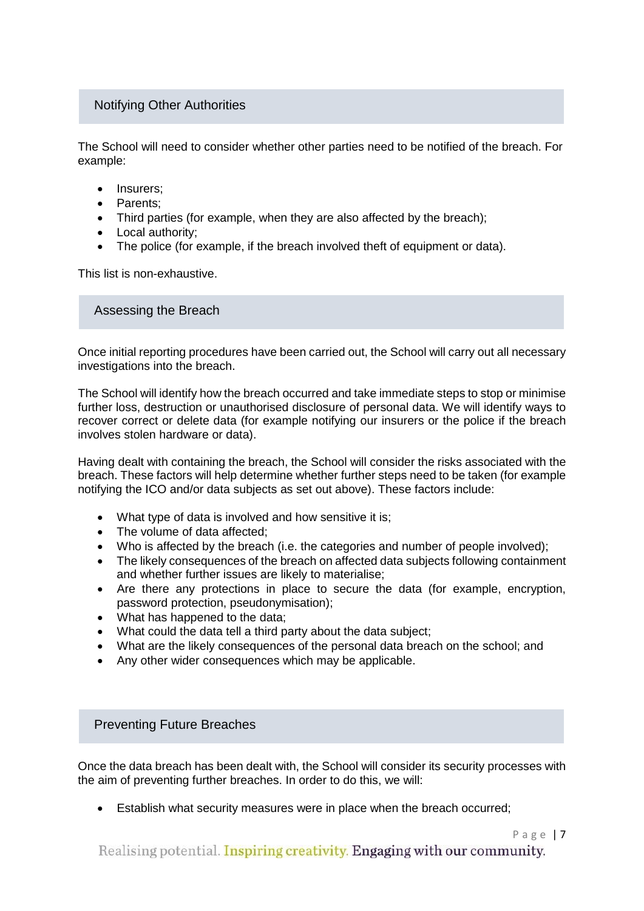# Notifying Other Authorities

The School will need to consider whether other parties need to be notified of the breach. For example:

- Insurers:
- Parents;
- Third parties (for example, when they are also affected by the breach);
- Local authority:
- The police (for example, if the breach involved theft of equipment or data).

This list is non-exhaustive.

Assessing the Breach

Once initial reporting procedures have been carried out, the School will carry out all necessary investigations into the breach.

The School will identify how the breach occurred and take immediate steps to stop or minimise further loss, destruction or unauthorised disclosure of personal data. We will identify ways to recover correct or delete data (for example notifying our insurers or the police if the breach involves stolen hardware or data).

Having dealt with containing the breach, the School will consider the risks associated with the breach. These factors will help determine whether further steps need to be taken (for example notifying the ICO and/or data subjects as set out above). These factors include:

- What type of data is involved and how sensitive it is;
- The volume of data affected:
- Who is affected by the breach (i.e. the categories and number of people involved);
- The likely consequences of the breach on affected data subjects following containment and whether further issues are likely to materialise;
- Are there any protections in place to secure the data (for example, encryption, password protection, pseudonymisation);
- What has happened to the data;
- What could the data tell a third party about the data subject;
- What are the likely consequences of the personal data breach on the school; and
- Any other wider consequences which may be applicable.

#### Preventing Future Breaches

Once the data breach has been dealt with, the School will consider its security processes with the aim of preventing further breaches. In order to do this, we will:

• Establish what security measures were in place when the breach occurred;

Realising potential. Inspiring creativity. Engaging with our community.